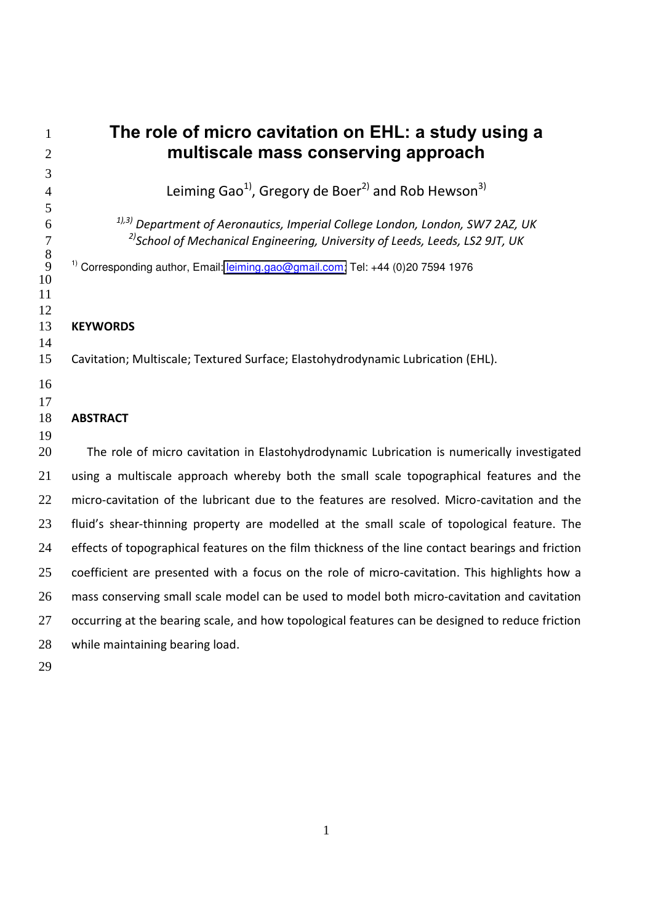| 1              | The role of micro cavitation on EHL: a study using a                                                                                                                                |
|----------------|-------------------------------------------------------------------------------------------------------------------------------------------------------------------------------------|
| $\overline{2}$ | multiscale mass conserving approach                                                                                                                                                 |
| 3              |                                                                                                                                                                                     |
| $\overline{4}$ | Leiming Gao <sup>1</sup> , Gregory de Boer <sup>2)</sup> and Rob Hewson <sup>3)</sup>                                                                                               |
| 5              |                                                                                                                                                                                     |
| 6<br>7         | <sup>1),3)</sup> Department of Aeronautics, Imperial College London, London, SW7 2AZ, UK<br><sup>2)</sup> School of Mechanical Engineering, University of Leeds, Leeds, LS2 9JT, UK |
| $8\,$          |                                                                                                                                                                                     |
| 9<br>10        | <sup>1)</sup> Corresponding author, Email: leiming.gao@gmail.com; Tel: +44 (0)20 7594 1976                                                                                          |
| 11             |                                                                                                                                                                                     |
| 12             |                                                                                                                                                                                     |
| 13             | <b>KEYWORDS</b>                                                                                                                                                                     |
| 14<br>15       | Cavitation; Multiscale; Textured Surface; Elastohydrodynamic Lubrication (EHL).                                                                                                     |
|                |                                                                                                                                                                                     |
| 16             |                                                                                                                                                                                     |
| 17<br>18       | <b>ABSTRACT</b>                                                                                                                                                                     |
| 19             |                                                                                                                                                                                     |
| 20             | The role of micro cavitation in Elastohydrodynamic Lubrication is numerically investigated                                                                                          |
| 21             | using a multiscale approach whereby both the small scale topographical features and the                                                                                             |
| 22             | micro-cavitation of the lubricant due to the features are resolved. Micro-cavitation and the                                                                                        |
| 23             | fluid's shear-thinning property are modelled at the small scale of topological feature. The                                                                                         |
| 24             | effects of topographical features on the film thickness of the line contact bearings and friction                                                                                   |
| 25             | coefficient are presented with a focus on the role of micro-cavitation. This highlights how a                                                                                       |
| 26             | mass conserving small scale model can be used to model both micro-cavitation and cavitation                                                                                         |
| 27             | occurring at the bearing scale, and how topological features can be designed to reduce friction                                                                                     |
| 28             | while maintaining bearing load.                                                                                                                                                     |
| 29             |                                                                                                                                                                                     |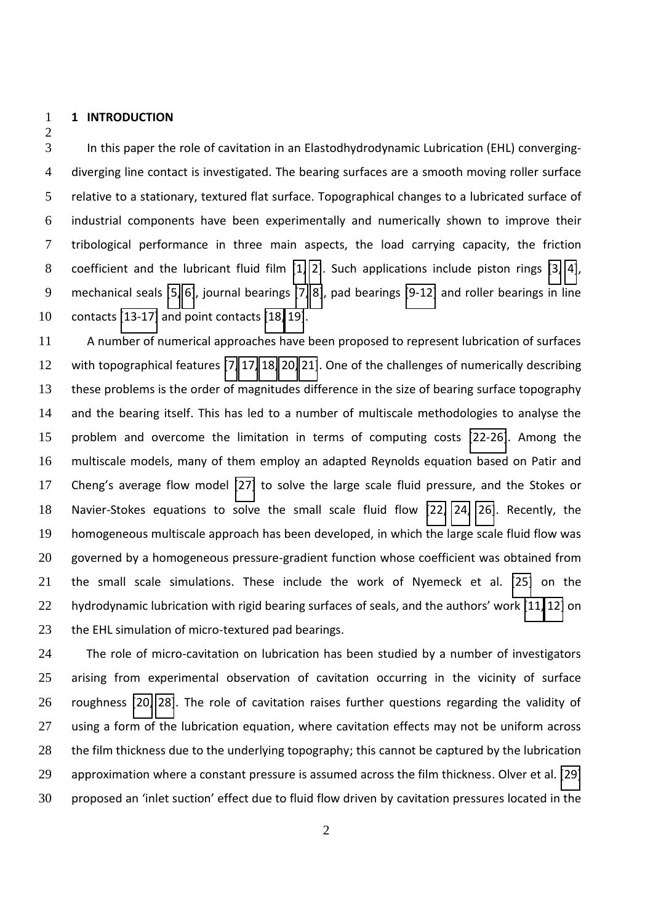**1 INTRODUCTION** 

In this paper the role of cavitation in an Elastodhydrodynamic Lubrication (EHL) converging-diverging line contact is investigated. The bearing surfaces are a smooth moving roller surface relative to a stationary, textured flat surface. Topographical changes to a lubricated surface of industrial components have been experimentally and numerically shown to improve their tribological performance in three main aspects, the load carrying capacity, the friction coefficient and the lubricant fluid film [\[1,](#page-11-0) [2\]](#page-11-1). Such applications include piston rings [\[3,](#page-11-2) [4\]](#page-11-3), mechanical seals [\[5,](#page-11-4) [6\]](#page-11-5), journal bearings [\[7,](#page-11-6) [8\]](#page-11-7), pad bearings [\[9-12\]](#page-12-0) and roller bearings in line contacts [\[13-17\]](#page-12-1) and point contacts [\[18,](#page-12-2) [19\]](#page-12-3).

A number of numerical approaches have been proposed to represent lubrication of surfaces with topographical features [\[7,](#page-11-6) [17,](#page-12-4) [18,](#page-12-2) [20,](#page-12-5) [21\]](#page-12-6). One of the challenges of numerically describing these problems is the order of magnitudes difference in the size of bearing surface topography and the bearing itself. This has led to a number of multiscale methodologies to analyse the problem and overcome the limitation in terms of computing costs [\[22-26\]](#page-12-7). Among the multiscale models, many of them employ an adapted Reynolds equation based on Patir and 17 Cheng's average flow model [\[27\]](#page-12-8) to solve the large scale fluid pressure, and the Stokes or Navier-Stokes equations to solve the small scale fluid flow [\[22,](#page-12-7) [24,](#page-12-9) [26\]](#page-12-10). Recently, the homogeneous multiscale approach has been developed, in which the large scale fluid flow was governed by a homogeneous pressure-gradient function whose coefficient was obtained from the small scale simulations. These include the work of Nyemeck et al. [\[25\]](#page-12-11) on the 22 hydrodynamic lubrication with rigid bearing surfaces of seals, and the authors' work [\[11,](#page-12-12) [12\]](#page-12-13) on 23 the EHL simulation of micro-textured pad bearings.

24 The role of micro-cavitation on lubrication has been studied by a number of investigators arising from experimental observation of cavitation occurring in the vicinity of surface roughness [\[20,](#page-12-5) [28\]](#page-13-0). The role of cavitation raises further questions regarding the validity of 27 using a form of the lubrication equation, where cavitation effects may not be uniform across 28 the film thickness due to the underlying topography; this cannot be captured by the lubrication approximation where a constant pressure is assumed across the film thickness. Olver et al. [\[29\]](#page-13-1) 30 proposed an 'inlet suction' effect due to fluid flow driven by cavitation pressures located in the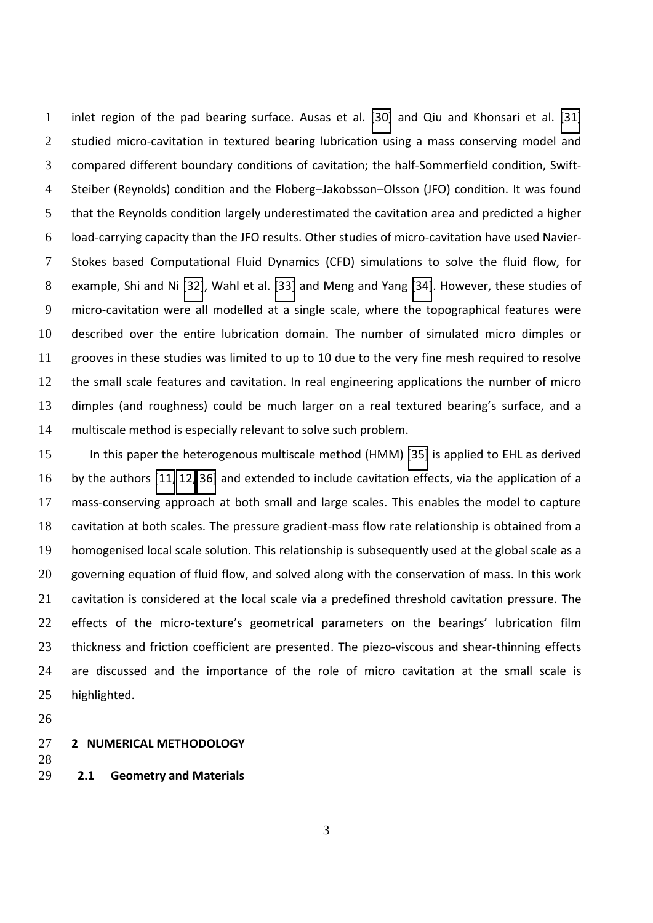inlet region of the pad bearing surface. Ausas et al. [\[30\]](#page-13-2) and Qiu and Khonsari et al. [\[31\]](#page-13-3) 2 studied micro-cavitation in textured bearing lubrication using a mass conserving model and compared different boundary conditions of cavitation; the half-Sommerfield condition, Swift-4 Steiber (Reynolds) condition and the Floberg-Jakobsson-Olsson (JFO) condition. It was found that the Reynolds condition largely underestimated the cavitation area and predicted a higher load-carrying capacity than the JFO results. Other studies of micro-cavitation have used Navier-Stokes based Computational Fluid Dynamics (CFD) simulations to solve the fluid flow, for example, Shi and Ni [\[32\]](#page-13-4), Wahl et al. [\[33\]](#page-13-5) and Meng and Yang [\[34\]](#page-13-6). However, these studies of micro-cavitation were all modelled at a single scale, where the topographical features were described over the entire lubrication domain. The number of simulated micro dimples or grooves in these studies was limited to up to 10 due to the very fine mesh required to resolve the small scale features and cavitation. In real engineering applications the number of micro 13 dimples (and roughness) could be much larger on a real textured bearing's surface, and a multiscale method is especially relevant to solve such problem.

<span id="page-2-1"></span><span id="page-2-0"></span>In this paper the heterogenous multiscale method (HMM) [\[35\]](#page-13-7) is applied to EHL as derived by the authors [\[11,](#page-12-12) [12,](#page-12-13) [36\]](#page-13-8) and extended to include cavitation effects, via the application of a mass-conserving approach at both small and large scales. This enables the model to capture cavitation at both scales. The pressure gradient-mass flow rate relationship is obtained from a homogenised local scale solution. This relationship is subsequently used at the global scale as a 20 governing equation of fluid flow, and solved along with the conservation of mass. In this work cavitation is considered at the local scale via a predefined threshold cavitation pressure. The 22 effects of the micro-texture's geometrical parameters on the bearings' lubrication film 23 thickness and friction coefficient are presented. The piezo-viscous and shear-thinning effects are discussed and the importance of the role of micro cavitation at the small scale is highlighted.

#### **2 NUMERICAL METHODOLOGY**

- 
- **2.1 Geometry and Materials**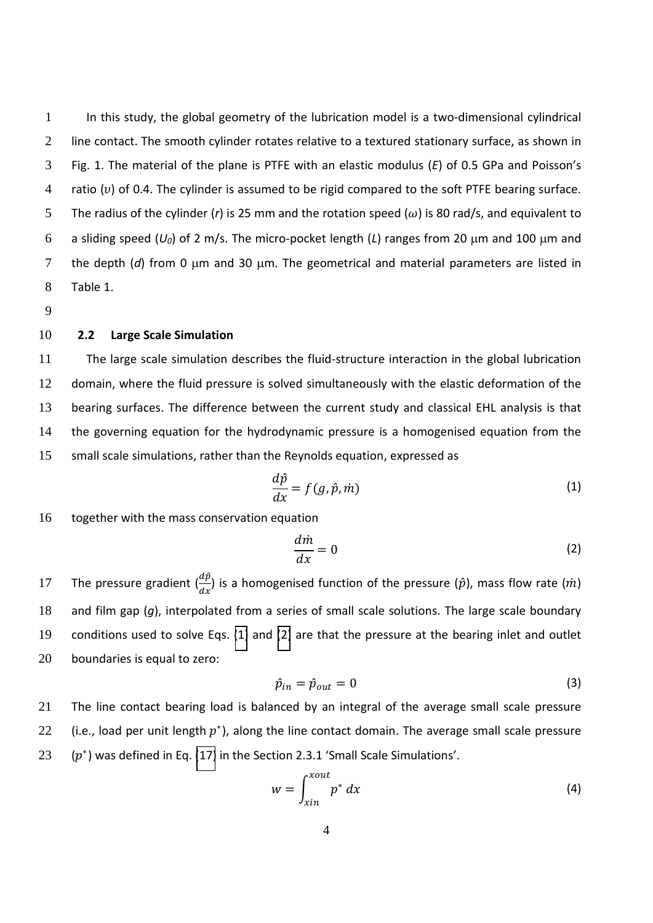1 In this study, the global geometry of the lubrication model is a two-dimensional cylindrical 2 line contact. The smooth cylinder rotates relative to a textured stationary surface, as shown in 3 Fig. 1. The material of the plane is PTFE with an elastic modulus (E) of 0.5 GPa and Poisson's 4 ratio  $(v)$  of 0.4. The cylinder is assumed to be rigid compared to the soft PTFE bearing surface. 5 The radius of the cylinder (*r*) is 25 mm and the rotation speed ( $\omega$ ) is 80 rad/s, and equivalent to 6 a sliding speed  $(U_0)$  of 2 m/s. The micro-pocket length (L) ranges from 20  $\mu$ m and 100  $\mu$ m and 7 the depth  $(d)$  from 0  $\mu$ m and 30  $\mu$ m. The geometrical and material parameters are listed in 8 Table 1.

9

## 10 **2.2 Large Scale Simulation**

The large scale simulation describes the fluid-structure interaction in the global lubrication domain, where the fluid pressure is solved simultaneously with the elastic deformation of the bearing surfaces. The difference between the current study and classical EHL analysis is that the governing equation for the hydrodynamic pressure is a homogenised equation from the small scale simulations, rather than the Reynolds equation, expressed as

$$
\frac{d\hat{p}}{dx} = f(g, \hat{p}, \dot{m})\tag{1}
$$

16 together with the mass conservation equation

$$
\frac{d\dot{m}}{dx} = 0\tag{2}
$$

17 The pressure gradient  $\left(\frac{ap}{dx}\right)$  is a homogenised function of the pressure ( $\hat{p}$ ), mass flow rate ( $\dot{m}$ ) and film gap (*g*), interpolated from a series of small scale solutions. The large scale boundary conditions used to solve Eqs. [\(1\)](#page-2-0) and [\(2\)](#page-2-1) are that the pressure at the bearing inlet and outlet boundaries is equal to zero:

$$
\hat{p}_{in} = \hat{p}_{out} = 0 \tag{3}
$$

21 The line contact bearing load is balanced by an integral of the average small scale pressure 22 (i.e., load per unit length  $p^*$ ), along the line contact domain. The average small scale pressure 23  $(p^*)$  was defined in Eq. [\(17\)](#page-5-0) in the Section 2.3.1 'Small Scale Simulations'.

$$
w = \int_{xin}^{xout} p^* dx
$$
 (4)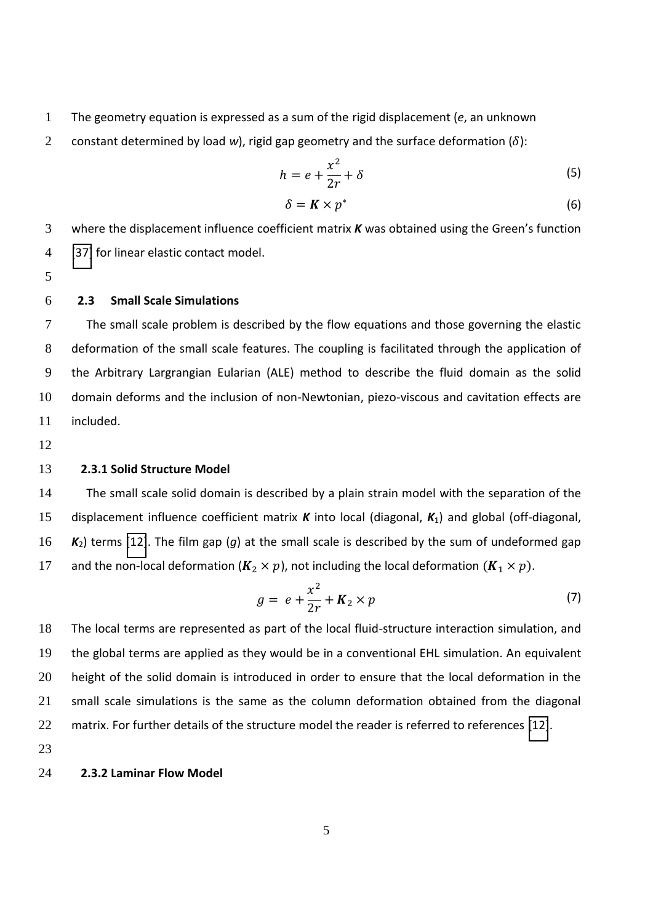- 1 The geometry equation is expressed as a sum of the rigid displacement (*e*, an unknown
- 2 constant determined by load *w*), rigid gap geometry and the surface deformation  $(\delta)$ :

$$
h = e + \frac{x^2}{2r} + \delta \tag{5}
$$

<span id="page-4-0"></span>
$$
\delta = K \times p^* \tag{6}
$$

3 where the displacement influence coefficient matrix **K** was obtained using the Green's function 4 [\[37\]](#page-13-9) for linear elastic contact model.

5

## 6 **2.3 Small Scale Simulations**

The small scale problem is described by the flow equations and those governing the elastic deformation of the small scale features. The coupling is facilitated through the application of the Arbitrary Largrangian Eularian (ALE) method to describe the fluid domain as the solid domain deforms and the inclusion of non-Newtonian, piezo-viscous and cavitation effects are included.

12

## 13 **2.3.1 Solid Structure Model**

The small scale solid domain is described by a plain strain model with the separation of the displacement influence coefficient matrix *K* into local (diagonal, *K*1) and global (off-diagonal, *K*2) terms [\[12\]](#page-12-13). The film gap (*g*) at the small scale is described by the sum of undeformed gap 17 and the non-local deformation ( $K_2 \times p$ ), not including the local deformation  $(K_1 \times p)$ .

<span id="page-4-1"></span>
$$
g = e + \frac{x^2}{2r} + K_2 \times p \tag{7}
$$

The local terms are represented as part of the local fluid-structure interaction simulation, and the global terms are applied as they would be in a conventional EHL simulation. An equivalent 20 height of the solid domain is introduced in order to ensure that the local deformation in the small scale simulations is the same as the column deformation obtained from the diagonal matrix. For further details of the structure model the reader is referred to references [\[12\]](#page-12-13).

23

#### 24 **2.3.2 Laminar Flow Model**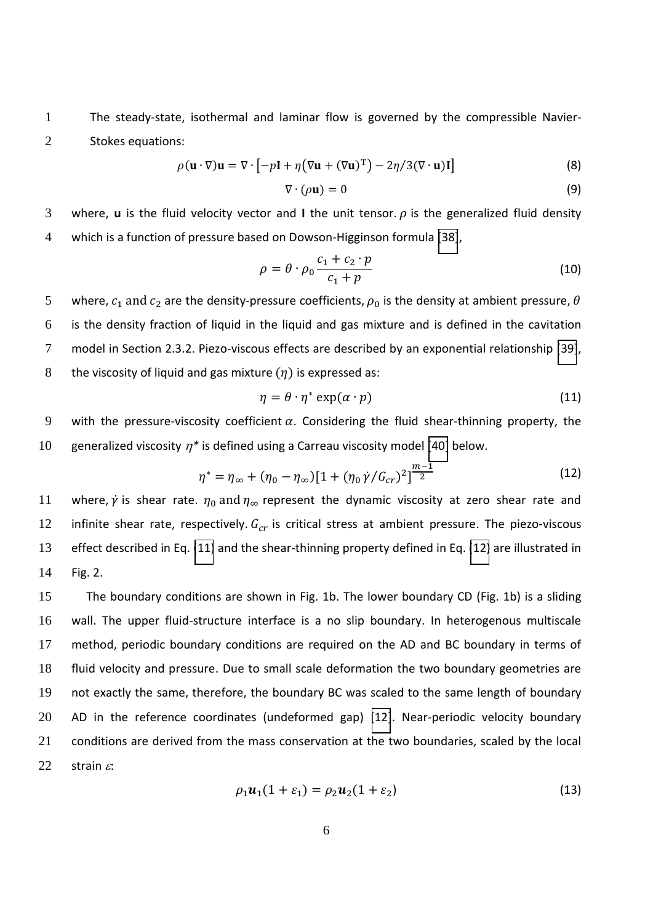1 The steady-state, isothermal and laminar flow is governed by the compressible Navier-2 Stokes equations:

$$
\rho(\mathbf{u} \cdot \nabla)\mathbf{u} = \nabla \cdot [-p\mathbf{I} + \eta (\nabla \mathbf{u} + (\nabla \mathbf{u})^{\mathrm{T}}) - 2\eta / 3(\nabla \cdot \mathbf{u})\mathbf{I}] \tag{8}
$$

$$
\nabla \cdot (\rho \mathbf{u}) = 0 \tag{9}
$$

3 where, **u** is the fluid velocity vector and I the unit tensor.  $\rho$  is the generalized fluid density 4 which is a function of pressure based on Dowson-Higginson formula [\[38\]](#page-13-10),

$$
\rho = \theta \cdot \rho_0 \frac{c_1 + c_2 \cdot p}{c_1 + p} \tag{10}
$$

5 where,  $c_1$  and  $c_2$  are the density-pressure coefficients,  $\rho_0$  is the density at ambient pressure,  $\theta$ 6 is the density fraction of liquid in the liquid and gas mixture and is defined in the cavitation 7 model in Section 2.3.2. Piezo-viscous effects are described by an exponential relationship [\[39\]](#page-13-11), 8 the viscosity of liquid and gas mixture  $(\eta)$  is expressed as:

<span id="page-5-0"></span>
$$
\eta = \theta \cdot \eta^* \exp(\alpha \cdot p) \tag{11}
$$

9 with the pressure-viscosity coefficient  $\alpha$ . Considering the fluid shear-thinning property, the

10 generalized viscosity  $\eta^*$  is defined using a Carreau viscosity model [\[40\]](#page-13-12) below.

$$
\eta^* = \eta_{\infty} + (\eta_0 - \eta_{\infty}) [1 + (\eta_0 \dot{\gamma}/G_{cr})^2] \frac{m-1}{2}
$$
 (12)

11 where,  $\dot{\gamma}$  is shear rate.  $\eta_0$  and  $\eta_\infty$  represent the dynamic viscosity at zero shear rate and 12 infinite shear rate, respectively.  $G_{cr}$  is critical stress at ambient pressure. The piezo-viscous 13 effect described in Eq. [\(11\)](#page-4-0) and the shear-thinning property defined in Eq. [\(12\)](#page-4-1) are illustrated in 14 Fig. 2.

The boundary conditions are shown in Fig. 1b. The lower boundary CD (Fig. 1b) is a sliding wall. The upper fluid-structure interface is a no slip boundary. In heterogenous multiscale method, periodic boundary conditions are required on the AD and BC boundary in terms of fluid velocity and pressure. Due to small scale deformation the two boundary geometries are not exactly the same, therefore, the boundary BC was scaled to the same length of boundary AD in the reference coordinates (undeformed gap) [\[12\]](#page-12-13). Near-periodic velocity boundary conditions are derived from the mass conservation at the two boundaries, scaled by the local 22 strain  $\varepsilon$ :

$$
\rho_1 \mathbf{u}_1 (1 + \varepsilon_1) = \rho_2 \mathbf{u}_2 (1 + \varepsilon_2) \tag{13}
$$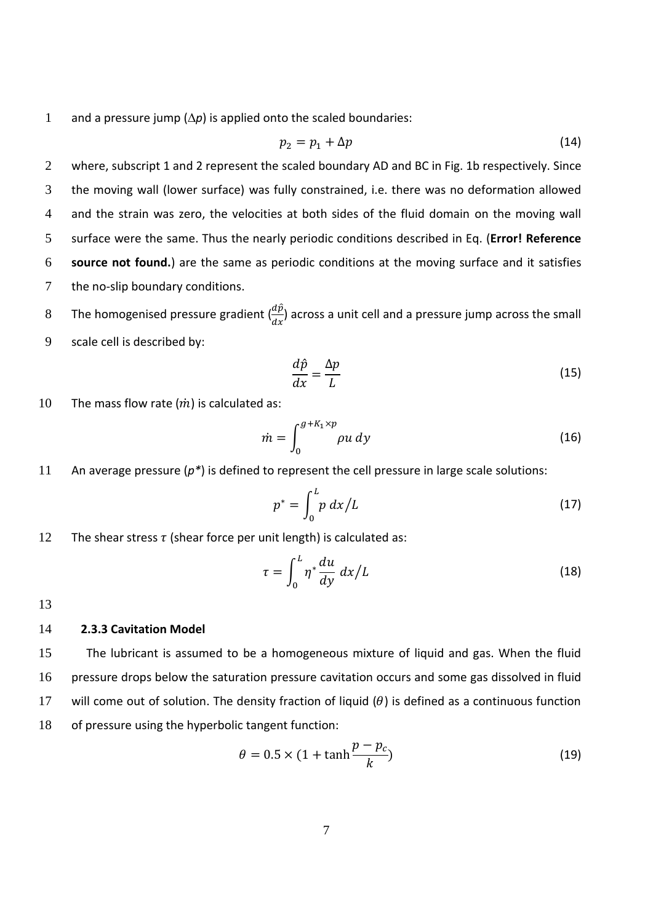1 and a pressure jump  $(\Delta p)$  is applied onto the scaled boundaries:

$$
p_2 = p_1 + \Delta p \tag{14}
$$

2 where, subscript 1 and 2 represent the scaled boundary AD and BC in Fig. 1b respectively. Since the moving wall (lower surface) was fully constrained, i.e. there was no deformation allowed and the strain was zero, the velocities at both sides of the fluid domain on the moving wall surface were the same. Thus the nearly periodic conditions described in Eq. (**Error! Reference source not found.**) are the same as periodic conditions at the moving surface and it satisfies the no-slip boundary conditions.

8 The homogenised pressure gradient  $\left(\frac{ap}{dx}\right)$  across a unit cell and a pressure jump across the small

9 scale cell is described by:

$$
\frac{d\hat{p}}{dx} = \frac{\Delta p}{L} \tag{15}
$$

10 The mass flow rate  $(m)$  is calculated as:

$$
\dot{m} = \int_0^{g + K_1 \times p} \rho u \, dy \tag{16}
$$

11 An average pressure (*p\**) is defined to represent the cell pressure in large scale solutions:

$$
p^* = \int_0^L p \, dx / L \tag{17}
$$

12 The shear stress  $\tau$  (shear force per unit length) is calculated as:

$$
\tau = \int_0^L \eta^* \frac{du}{dy} \, dx / L \tag{18}
$$

13

#### 14 **2.3.3 Cavitation Model**

The lubricant is assumed to be a homogeneous mixture of liquid and gas. When the fluid pressure drops below the saturation pressure cavitation occurs and some gas dissolved in fluid 17 will come out of solution. The density fraction of liquid  $(\theta)$  is defined as a continuous function of pressure using the hyperbolic tangent function:

$$
\theta = 0.5 \times (1 + \tanh \frac{p - p_c}{k})
$$
\n(19)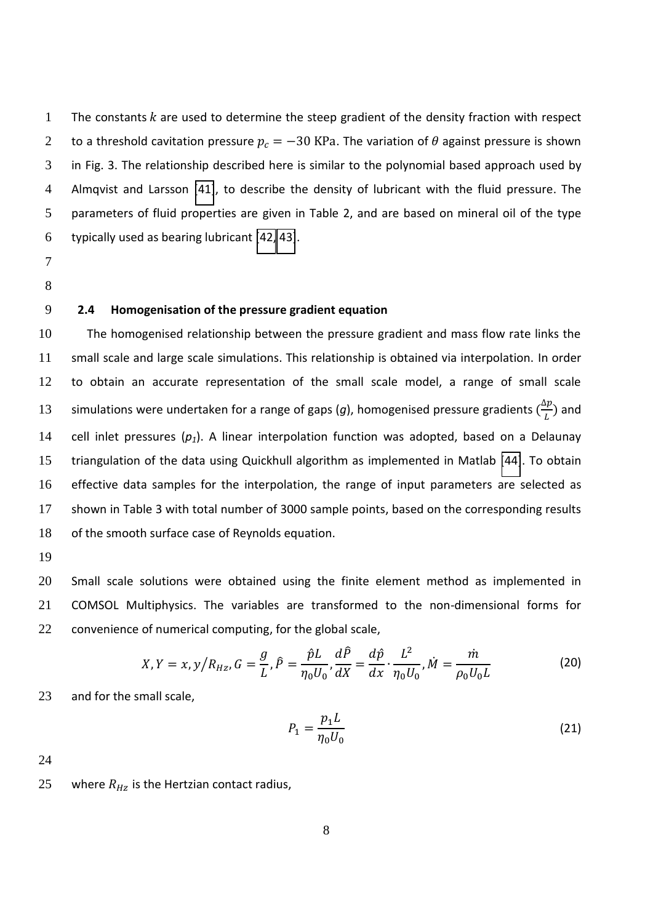1 The constants  $k$  are used to determine the steep gradient of the density fraction with respect 2 to a threshold cavitation pressure  $p_c = -30$  KPa. The variation of  $\theta$  against pressure is shown in Fig. 3. The relationship described here is similar to the polynomial based approach used by Almqvist and Larsson [\[41\]](#page-13-13), to describe the density of lubricant with the fluid pressure. The parameters of fluid properties are given in Table 2, and are based on mineral oil of the type typically used as bearing lubricant [\[42,](#page-13-14) [43\]](#page-13-15).

- 7
- 8

# 9 **2.4 Homogenisation of the pressure gradient equation**

The homogenised relationship between the pressure gradient and mass flow rate links the small scale and large scale simulations. This relationship is obtained via interpolation. In order to obtain an accurate representation of the small scale model, a range of small scale simulations were undertaken for a range of gaps (g), homogenised pressure gradients  $(\frac{\Delta p}{L})$ 13 simulations were undertaken for a range of gaps (g), homogenised pressure gradients  $(\frac{\Delta p}{L})$  and cell inlet pressures (*p1*). A linear interpolation function was adopted, based on a Delaunay triangulation of the data using Quickhull algorithm as implemented in Matlab [\[44\]](#page-13-16). To obtain effective data samples for the interpolation, the range of input parameters are selected as shown in Table 3 with total number of 3000 sample points, based on the corresponding results of the smooth surface case of Reynolds equation.

19

20 Small scale solutions were obtained using the finite element method as implemented in 21 COMSOL Multiphysics. The variables are transformed to the non-dimensional forms for 22 convenience of numerical computing, for the global scale,

$$
X, Y = x, y/R_{Hz}, G = \frac{g}{L}, \hat{P} = \frac{\hat{p}L}{\eta_0 U_0}, \frac{d\hat{P}}{dX} = \frac{d\hat{p}}{dx} \cdot \frac{L^2}{\eta_0 U_0}, \dot{M} = \frac{\dot{m}}{\rho_0 U_0 L}
$$
(20)

23 and for the small scale,

$$
P_1 = \frac{p_1 L}{\eta_0 U_0} \tag{21}
$$

24

25 where  $R_{Hz}$  is the Hertzian contact radius,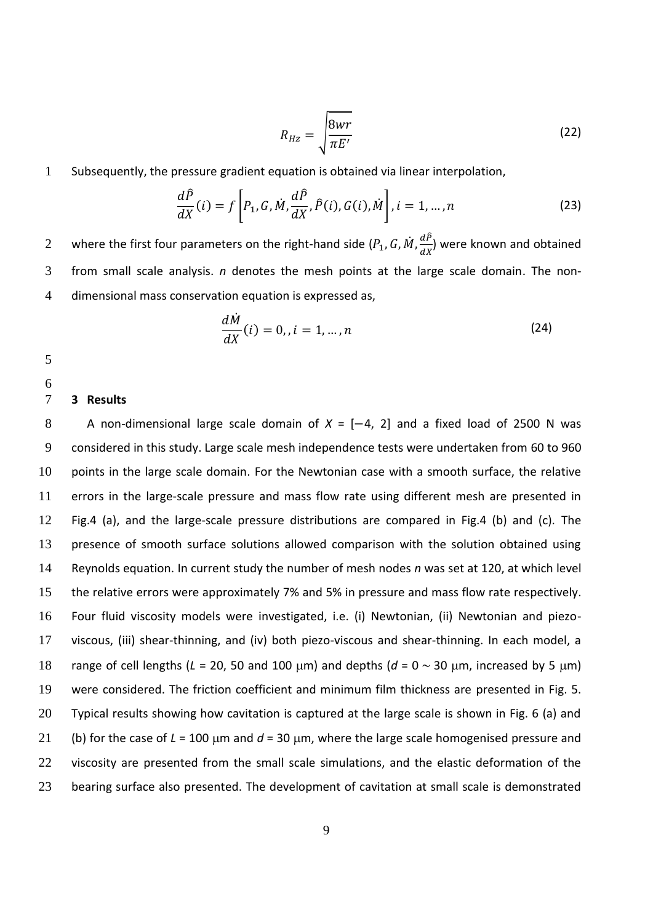$$
R_{Hz} = \sqrt{\frac{8wr}{\pi E'}} \tag{22}
$$

1 Subsequently, the pressure gradient equation is obtained via linear interpolation,

$$
\frac{d\hat{P}}{dX}(i) = f\left[P_1, G, \dot{M}, \frac{d\hat{P}}{dX}, \hat{P}(i), G(i), \dot{M}\right], i = 1, \dots, n
$$
\n(23)

where the first four parameters on the right-hand side  $(P_1, G, \dot{M}, \frac{dP_1}{dX})$ 2 where the first four parameters on the right-hand side  $(P_1, G, M, \frac{\omega}{dx})$  were known and obtained 3 from small scale analysis. *n* denotes the mesh points at the large scale domain. The non-4 dimensional mass conservation equation is expressed as,

$$
\frac{dM}{dX}(i) = 0, i = 1, ..., n
$$
\n(24)

5

6

### 7 **3 Results**

8 A non-dimensional large scale domain of  $X = [-4, 2]$  and a fixed load of 2500 N was considered in this study. Large scale mesh independence tests were undertaken from 60 to 960 points in the large scale domain. For the Newtonian case with a smooth surface, the relative errors in the large-scale pressure and mass flow rate using different mesh are presented in Fig.4 (a), and the large-scale pressure distributions are compared in Fig.4 (b) and (c). The presence of smooth surface solutions allowed comparison with the solution obtained using Reynolds equation. In current study the number of mesh nodes *n* was set at 120, at which level the relative errors were approximately 7% and 5% in pressure and mass flow rate respectively. Four fluid viscosity models were investigated, i.e. (i) Newtonian, (ii) Newtonian and piezo-viscous, (iii) shear-thinning, and (iv) both piezo-viscous and shear-thinning. In each model, a 18 range of cell lengths ( $L = 20$ , 50 and 100  $\mu$ m) and depths ( $d = 0 \sim 30$   $\mu$ m, increased by 5  $\mu$ m) were considered. The friction coefficient and minimum film thickness are presented in Fig. 5. Typical results showing how cavitation is captured at the large scale is shown in Fig. 6 (a) and 21 (b) for the case of  $L = 100$  µm and  $d = 30$  µm, where the large scale homogenised pressure and 22 viscosity are presented from the small scale simulations, and the elastic deformation of the bearing surface also presented. The development of cavitation at small scale is demonstrated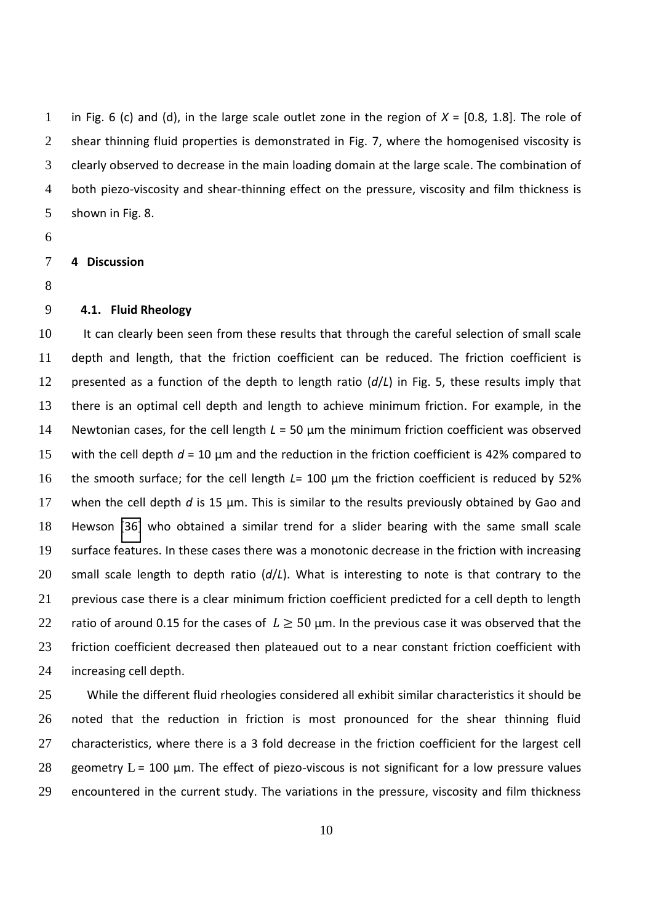in Fig. 6 (c) and (d), in the large scale outlet zone in the region of *X* = [0.8, 1.8]. The role of 2 shear thinning fluid properties is demonstrated in Fig. 7, where the homogenised viscosity is clearly observed to decrease in the main loading domain at the large scale. The combination of both piezo-viscosity and shear-thinning effect on the pressure, viscosity and film thickness is shown in Fig. 8.

### **4 Discussion**

# **4.1. Fluid Rheology**

10 It can clearly been seen from these results that through the careful selection of small scale depth and length, that the friction coefficient can be reduced. The friction coefficient is presented as a function of the depth to length ratio (*d*/*L*) in Fig. 5, these results imply that there is an optimal cell depth and length to achieve minimum friction. For example, in the 14 Newtonian cases, for the cell length *L* = 50 µm the minimum friction coefficient was observed with the cell depth *d* = 10 µm and the reduction in the friction coefficient is 42% compared to 16 the smooth surface; for the cell length *L*= 100 µm the friction coefficient is reduced by 52% when the cell depth *d* is 15 µm. This is similar to the results previously obtained by Gao and Hewson [\[36\]](#page-13-8) who obtained a similar trend for a slider bearing with the same small scale surface features. In these cases there was a monotonic decrease in the friction with increasing small scale length to depth ratio (*d*/*L*). What is interesting to note is that contrary to the 21 previous case there is a clear minimum friction coefficient predicted for a cell depth to length 22 ratio of around 0.15 for the cases of  $L \ge 50$  µm. In the previous case it was observed that the friction coefficient decreased then plateaued out to a near constant friction coefficient with increasing cell depth.

25 While the different fluid rheologies considered all exhibit similar characteristics it should be noted that the reduction in friction is most pronounced for the shear thinning fluid characteristics, where there is a 3 fold decrease in the friction coefficient for the largest cell 28 geometry  $L = 100$  µm. The effect of piezo-viscous is not significant for a low pressure values encountered in the current study. The variations in the pressure, viscosity and film thickness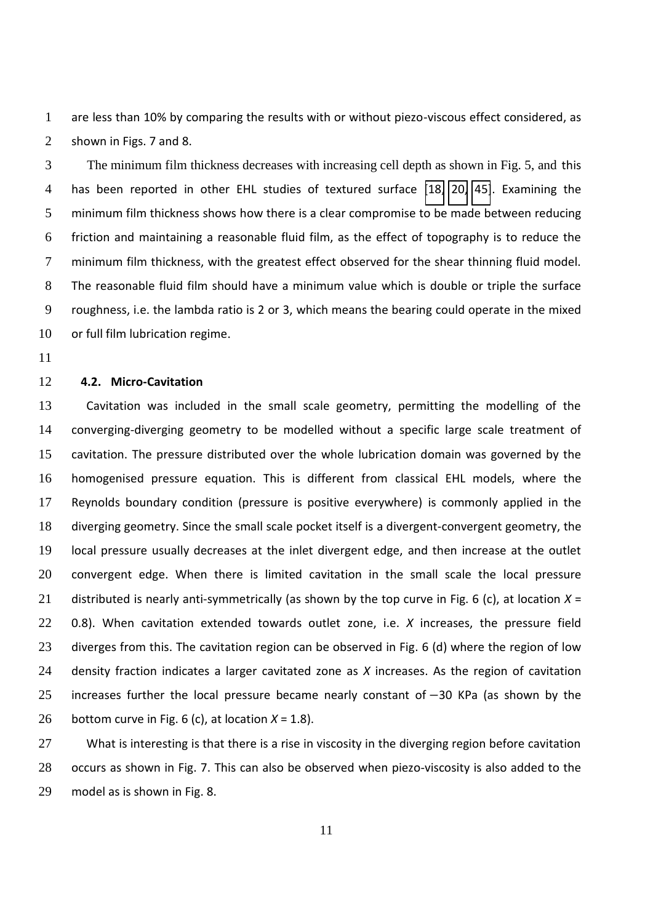are less than 10% by comparing the results with or without piezo-viscous effect considered, as shown in Figs. 7 and 8.

3 The minimum film thickness decreases with increasing cell depth as shown in Fig. 5, and this has been reported in other EHL studies of textured surface [\[18,](#page-12-2) [20,](#page-12-5) [45\]](#page-13-17). Examining the minimum film thickness shows how there is a clear compromise to be made between reducing friction and maintaining a reasonable fluid film, as the effect of topography is to reduce the minimum film thickness, with the greatest effect observed for the shear thinning fluid model. The reasonable fluid film should have a minimum value which is double or triple the surface roughness, i.e. the lambda ratio is 2 or 3, which means the bearing could operate in the mixed 10 or full film lubrication regime.

# **4.2. Micro-Cavitation**

Cavitation was included in the small scale geometry, permitting the modelling of the converging-diverging geometry to be modelled without a specific large scale treatment of cavitation. The pressure distributed over the whole lubrication domain was governed by the homogenised pressure equation. This is different from classical EHL models, where the Reynolds boundary condition (pressure is positive everywhere) is commonly applied in the diverging geometry. Since the small scale pocket itself is a divergent-convergent geometry, the local pressure usually decreases at the inlet divergent edge, and then increase at the outlet convergent edge. When there is limited cavitation in the small scale the local pressure distributed is nearly anti-symmetrically (as shown by the top curve in Fig. 6 (c), at location *X* = 0.8). When cavitation extended towards outlet zone, i.e. *X* increases, the pressure field 23 diverges from this. The cavitation region can be observed in Fig. 6 (d) where the region of low density fraction indicates a larger cavitated zone as *X* increases. As the region of cavitation 25 increases further the local pressure became nearly constant of  $-30$  KPa (as shown by the 26 bottom curve in Fig. 6 (c), at location  $X = 1.8$ ).

27 What is interesting is that there is a rise in viscosity in the diverging region before cavitation occurs as shown in Fig. 7. This can also be observed when piezo-viscosity is also added to the model as is shown in Fig. 8.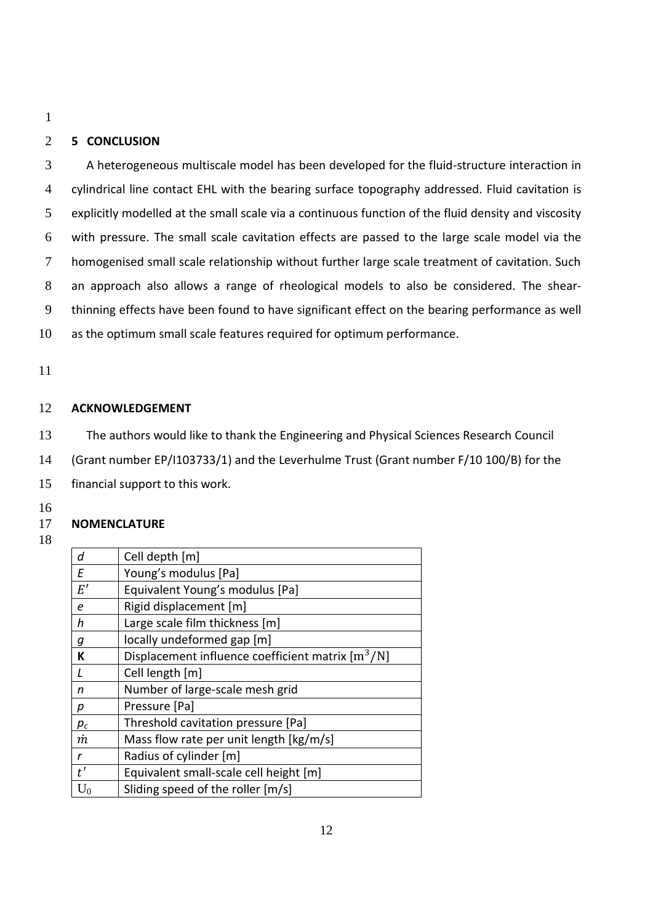# 2 **5 CONCLUSION**

A heterogeneous multiscale model has been developed for the fluid-structure interaction in cylindrical line contact EHL with the bearing surface topography addressed. Fluid cavitation is explicitly modelled at the small scale via a continuous function of the fluid density and viscosity with pressure. The small scale cavitation effects are passed to the large scale model via the homogenised small scale relationship without further large scale treatment of cavitation. Such an approach also allows a range of rheological models to also be considered. The shear-thinning effects have been found to have significant effect on the bearing performance as well as the optimum small scale features required for optimum performance.

11

### 12 **ACKNOWLEDGEMENT**

- 13 The authors would like to thank the Engineering and Physical Sciences Research Council
- 14 (Grant number EP/I103733/1) and the Leverhulme Trust (Grant number F/10 100/B) for the
- 15 financial support to this work.
- 16

## 17 **NOMENCLATURE**

<span id="page-11-7"></span><span id="page-11-6"></span><span id="page-11-5"></span><span id="page-11-4"></span><span id="page-11-3"></span><span id="page-11-2"></span><span id="page-11-1"></span><span id="page-11-0"></span>

| d     | Cell depth [m]                                                |
|-------|---------------------------------------------------------------|
| F     | Young's modulus [Pa]                                          |
| E'    | Equivalent Young's modulus [Pa]                               |
| e     | Rigid displacement [m]                                        |
| h     | Large scale film thickness [m]                                |
| g     | locally undeformed gap [m]                                    |
| К     | Displacement influence coefficient matrix [m <sup>3</sup> /N] |
| L     | Cell length [m]                                               |
| n     | Number of large-scale mesh grid                               |
| р     | Pressure [Pa]                                                 |
| $p_c$ | Threshold cavitation pressure [Pa]                            |
| m     | Mass flow rate per unit length [kg/m/s]                       |
| r     | Radius of cylinder [m]                                        |
| t'    | Equivalent small-scale cell height [m]                        |
| $U_0$ | Sliding speed of the roller [m/s]                             |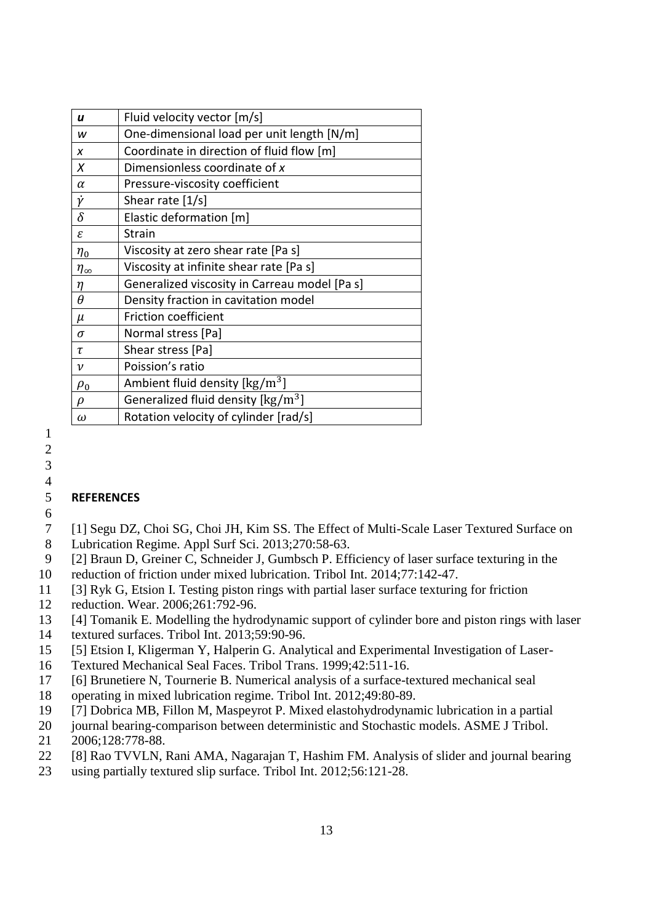<span id="page-12-13"></span><span id="page-12-12"></span><span id="page-12-1"></span><span id="page-12-0"></span>

| u                  | Fluid velocity vector [m/s]                                           |
|--------------------|-----------------------------------------------------------------------|
| w                  | One-dimensional load per unit length [N/m]                            |
| X                  | Coordinate in direction of fluid flow [m]                             |
| X                  | Dimensionless coordinate of x                                         |
| $\alpha$           | Pressure-viscosity coefficient                                        |
| Ÿ                  | Shear rate [1/s]                                                      |
| δ                  | Elastic deformation [m]                                               |
| ε                  | <b>Strain</b>                                                         |
| $\eta_0$           | Viscosity at zero shear rate [Pa s]                                   |
| $\eta_{\infty}$    | Viscosity at infinite shear rate [Pa s]                               |
| η                  | Generalized viscosity in Carreau model [Pa s]                         |
| θ                  | Density fraction in cavitation model                                  |
| μ                  | <b>Friction coefficient</b>                                           |
| $\sigma$           | Normal stress [Pa]                                                    |
| τ                  | Shear stress [Pa]                                                     |
| $\boldsymbol{\nu}$ | Poission's ratio                                                      |
| $\rho_0$           | Ambient fluid density $\left[\frac{\text{kg}}{\text{m}^3}\right]$     |
| D                  | Generalized fluid density $\left[\frac{\text{kg}}{\text{m}^3}\right]$ |
| $\omega$           | Rotation velocity of cylinder [rad/s]                                 |

## <span id="page-12-4"></span><span id="page-12-3"></span><span id="page-12-2"></span>5 **REFERENCES**  6

- <span id="page-12-5"></span>7 [1] Segu DZ, Choi SG, Choi JH, Kim SS. The Effect of Multi-Scale Laser Textured Surface on
- 8 Lubrication Regime. Appl Surf Sci. 2013;270:58-63.
- 9 [2] Braun D, Greiner C, Schneider J, Gumbsch P. Efficiency of laser surface texturing in the
- <span id="page-12-6"></span>10 reduction of friction under mixed lubrication. Tribol Int. 2014;77:142-47.
- 11 [3] Ryk G, Etsion I. Testing piston rings with partial laser surface texturing for friction
- <span id="page-12-7"></span>12 reduction. Wear. 2006;261:792-96.
- 13 [4] Tomanik E. Modelling the hydrodynamic support of cylinder bore and piston rings with laser
- 14 textured surfaces. Tribol Int. 2013;59:90-96.
- 15 [5] Etsion I, Kligerman Y, Halperin G. Analytical and Experimental Investigation of Laser-
- <span id="page-12-9"></span>16 Textured Mechanical Seal Faces. Tribol Trans. 1999;42:511-16.
- 17 [6] Brunetiere N, Tournerie B. Numerical analysis of a surface-textured mechanical seal
- 18 operating in mixed lubrication regime. Tribol Int. 2012;49:80-89.
- <span id="page-12-11"></span>19 [7] Dobrica MB, Fillon M, Maspeyrot P. Mixed elastohydrodynamic lubrication in a partial
- 20 journal bearing-comparison between deterministic and Stochastic models. ASME J Tribol.
- <span id="page-12-10"></span>21 2006;128:778-88.
- 22 [8] Rao TVVLN, Rani AMA, Nagarajan T, Hashim FM. Analysis of slider and journal bearing
- <span id="page-12-8"></span>23 using partially textured slip surface. Tribol Int. 2012;56:121-28.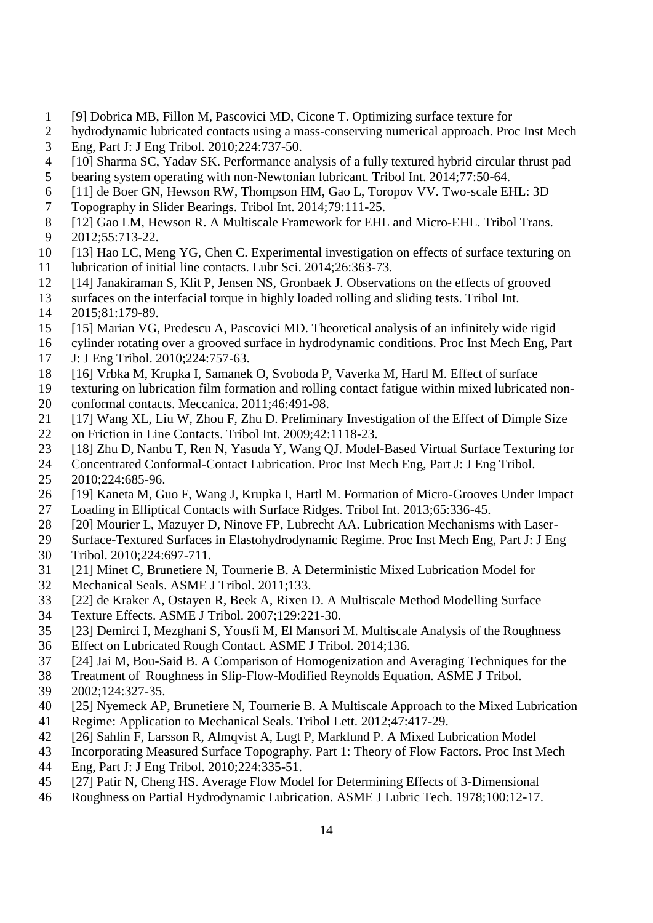- <span id="page-13-0"></span>1 [9] Dobrica MB, Fillon M, Pascovici MD, Cicone T. Optimizing surface texture for
- hydrodynamic lubricated contacts using a mass-conserving numerical approach. Proc Inst Mech 3 Eng, Part J: J Eng Tribol. 2010;224:737-50.
- <span id="page-13-1"></span>4 [10] Sharma SC, Yadav SK. Performance analysis of a fully textured hybrid circular thrust pad
- 5 bearing system operating with non-Newtonian lubricant. Tribol Int. 2014;77:50-64.
- <span id="page-13-2"></span>6 [11] de Boer GN, Hewson RW, Thompson HM, Gao L, Toropov VV. Two-scale EHL: 3D
- 7 Topography in Slider Bearings. Tribol Int. 2014;79:111-25.
- <span id="page-13-3"></span>8 [12] Gao LM, Hewson R. A Multiscale Framework for EHL and Micro-EHL. Tribol Trans.<br>9 2012:55:713-22. 9 2012;55:713-22.
- 10 [13] Hao LC, Meng YG, Chen C. Experimental investigation on effects of surface texturing on
- <span id="page-13-4"></span>11 lubrication of initial line contacts. Lubr Sci. 2014;26:363-73.<br>12 [14] Janakiraman S, Klit P, Jensen NS, Gronbaek J. Observat
- [14] Janakiraman S, Klit P, Jensen NS, Gronbaek J. Observations on the effects of grooved
- <span id="page-13-5"></span>13 surfaces on the interfacial torque in highly loaded rolling and sliding tests. Tribol Int.
- 14 2015;81:179-89.
- <span id="page-13-6"></span>15 [15] Marian VG, Predescu A, Pascovici MD. Theoretical analysis of an infinitely wide rigid
- 16 cylinder rotating over a grooved surface in hydrodynamic conditions. Proc Inst Mech Eng, Part
- <span id="page-13-7"></span>17 J: J Eng Tribol. 2010;224:757-63.
- 18 [16] Vrbka M, Krupka I, Samanek O, Svoboda P, Vaverka M, Hartl M. Effect of surface
- <span id="page-13-8"></span>19 texturing on lubrication film formation and rolling contact fatigue within mixed lubricated non-
- 20 conformal contacts. Meccanica. 2011;46:491-98.
- <span id="page-13-9"></span>21 [17] Wang XL, Liu W, Zhou F, Zhu D. Preliminary Investigation of the Effect of Dimple Size
- 22 on Friction in Line Contacts. Tribol Int. 2009;42:1118-23.
- <span id="page-13-10"></span>23 [18] Zhu D, Nanbu T, Ren N, Yasuda Y, Wang QJ. Model-Based Virtual Surface Texturing for
- 24 Concentrated Conformal-Contact Lubrication. Proc Inst Mech Eng, Part J: J Eng Tribol.
- <span id="page-13-11"></span>25 2010;224:685-96.
- 26 [19] Kaneta M, Guo F, Wang J, Krupka I, Hartl M. Formation of Micro-Grooves Under Impact Loading in Elliptical Contacts with Surface Ridges. Tribol Int. 2013:65:336-45.
- <span id="page-13-12"></span>27 Loading in Elliptical Contacts with Surface Ridges. Tribol Int. 2013;65:336-45.
- 28 [20] Mourier L, Mazuyer D, Ninove FP, Lubrecht AA. Lubrication Mechanisms with Laser-
- <span id="page-13-13"></span>29 Surface-Textured Surfaces in Elastohydrodynamic Regime. Proc Inst Mech Eng, Part J: J Eng
- 30 Tribol. 2010;224:697-711.
- <span id="page-13-14"></span>31 [21] Minet C, Brunetiere N, Tournerie B. A Deterministic Mixed Lubrication Model for
- 32 Mechanical Seals. ASME J Tribol. 2011;133.
- 33 [22] de Kraker A, Ostayen R, Beek A, Rixen D. A Multiscale Method Modelling Surface
- <span id="page-13-15"></span>34 Texture Effects. ASME J Tribol. 2007;129:221-30.
- <span id="page-13-16"></span>35 [23] Demirci I, Mezghani S, Yousfi M, El Mansori M. Multiscale Analysis of the Roughness
- 36 Effect on Lubricated Rough Contact. ASME J Tribol. 2014;136.
- <span id="page-13-17"></span>37 [24] Jai M, Bou-Said B. A Comparison of Homogenization and Averaging Techniques for the
- 38 Treatment of Roughness in Slip-Flow-Modified Reynolds Equation. ASME J Tribol.
- 39 2002;124:327-35.
- 40 [25] Nyemeck AP, Brunetiere N, Tournerie B. A Multiscale Approach to the Mixed Lubrication
- 41 Regime: Application to Mechanical Seals. Tribol Lett. 2012;47:417-29.
- 42 [26] Sahlin F, Larsson R, Almqvist A, Lugt P, Marklund P. A Mixed Lubrication Model
- 43 Incorporating Measured Surface Topography. Part 1: Theory of Flow Factors. Proc Inst Mech
- 44 Eng, Part J: J Eng Tribol. 2010;224:335-51.
- 45 [27] Patir N, Cheng HS. Average Flow Model for Determining Effects of 3-Dimensional
- 46 Roughness on Partial Hydrodynamic Lubrication. ASME J Lubric Tech. 1978;100:12-17.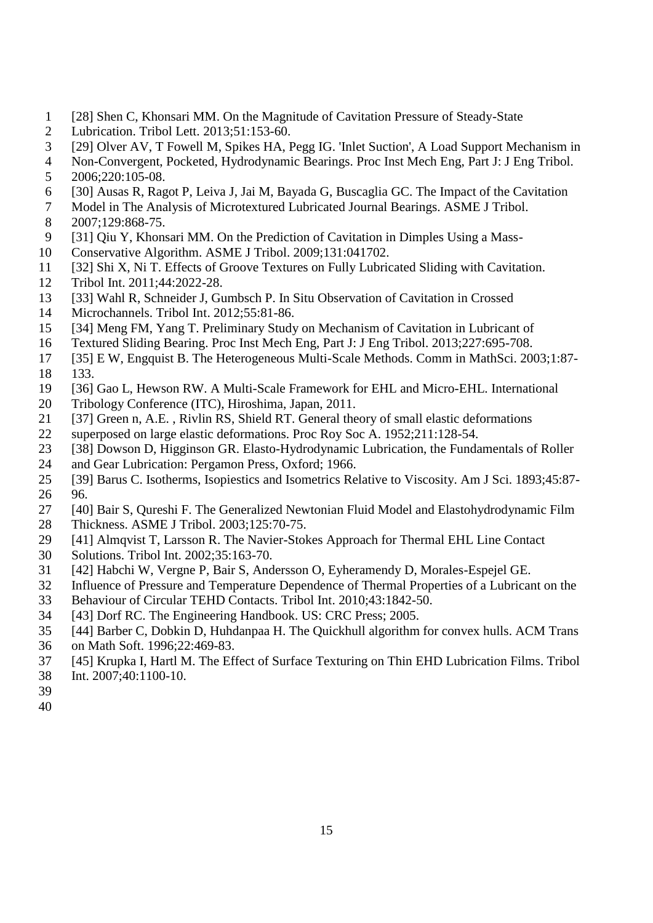- 1 [28] Shen C, Khonsari MM. On the Magnitude of Cavitation Pressure of Steady-State
- 2 Lubrication. Tribol Lett. 2013;51:153-60.
- 3 [29] Olver AV, T Fowell M, Spikes HA, Pegg IG. 'Inlet Suction', A Load Support Mechanism in
- 4 Non-Convergent, Pocketed, Hydrodynamic Bearings. Proc Inst Mech Eng, Part J: J Eng Tribol.
- 5 2006;220:105-08.
- 6 [30] Ausas R, Ragot P, Leiva J, Jai M, Bayada G, Buscaglia GC. The Impact of the Cavitation
- 7 Model in The Analysis of Microtextured Lubricated Journal Bearings. ASME J Tribol. 8 2007;129:868-75.<br>9 5311 Oiu Y. Khons
- [31] Qiu Y, Khonsari MM. On the Prediction of Cavitation in Dimples Using a Mass-
- 10 Conservative Algorithm. ASME J Tribol. 2009;131:041702.
- 11 [32] Shi X, Ni T. Effects of Groove Textures on Fully Lubricated Sliding with Cavitation.
- 12 Tribol Int. 2011;44:2022-28.
- 13 [33] Wahl R, Schneider J, Gumbsch P. In Situ Observation of Cavitation in Crossed
- 14 Microchannels. Tribol Int. 2012;55:81-86.
- 15 [34] Meng FM, Yang T. Preliminary Study on Mechanism of Cavitation in Lubricant of
- 16 Textured Sliding Bearing. Proc Inst Mech Eng, Part J: J Eng Tribol. 2013;227:695-708.
- 17 [35] E W, Engquist B. The Heterogeneous Multi-Scale Methods. Comm in MathSci. 2003;1:87- 18 133.
- 19 [36] Gao L, Hewson RW. A Multi-Scale Framework for EHL and Micro-EHL. International
- 20 Tribology Conference (ITC), Hiroshima, Japan, 2011.
- 21 [37] Green n, A.E. , Rivlin RS, Shield RT. General theory of small elastic deformations
- 22 superposed on large elastic deformations. Proc Roy Soc A. 1952;211:128-54.
- 23 [38] Dowson D, Higginson GR. Elasto-Hydrodynamic Lubrication, the Fundamentals of Roller
- 24 and Gear Lubrication: Pergamon Press, Oxford; 1966.
- 25 [39] Barus C. Isotherms, Isopiestics and Isometrics Relative to Viscosity. Am J Sci. 1893;45:87- 26 96.<br>27 [40]
- [40] Bair S, Qureshi F. The Generalized Newtonian Fluid Model and Elastohydrodynamic Film
- 28 Thickness. ASME J Tribol. 2003;125:70-75.
- 29 [41] Almqvist T, Larsson R. The Navier-Stokes Approach for Thermal EHL Line Contact
- 30 Solutions. Tribol Int. 2002;35:163-70.
- 31 [42] Habchi W, Vergne P, Bair S, Andersson O, Eyheramendy D, Morales-Espejel GE.
- 32 Influence of Pressure and Temperature Dependence of Thermal Properties of a Lubricant on the
- 33 Behaviour of Circular TEHD Contacts. Tribol Int. 2010;43:1842-50.
- 34 [43] Dorf RC. The Engineering Handbook. US: CRC Press; 2005.
- 35 [44] Barber C, Dobkin D, Huhdanpaa H. The Quickhull algorithm for convex hulls. ACM Trans
- 36 on Math Soft. 1996;22:469-83.
- 37 [45] Krupka I, Hartl M. The Effect of Surface Texturing on Thin EHD Lubrication Films. Tribol
- 38 Int. 2007;40:1100-10.
- 39
- 40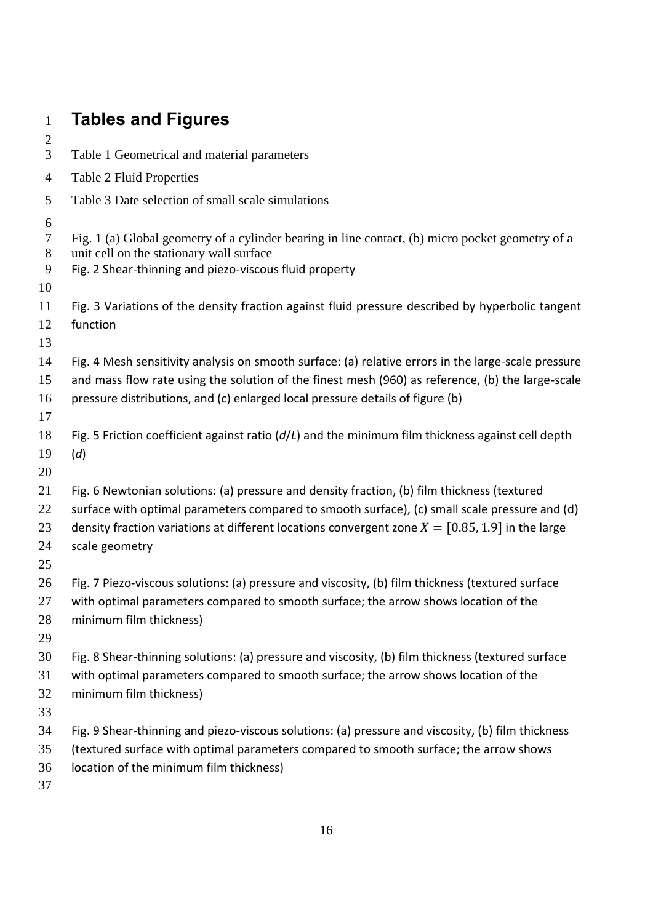| $\mathbf{1}$                | <b>Tables and Figures</b>                                                                                                                                                                                                                                                                                           |
|-----------------------------|---------------------------------------------------------------------------------------------------------------------------------------------------------------------------------------------------------------------------------------------------------------------------------------------------------------------|
| $\overline{c}$              |                                                                                                                                                                                                                                                                                                                     |
| 3                           | Table 1 Geometrical and material parameters                                                                                                                                                                                                                                                                         |
| $\overline{4}$              | <b>Table 2 Fluid Properties</b>                                                                                                                                                                                                                                                                                     |
| 5                           | Table 3 Date selection of small scale simulations                                                                                                                                                                                                                                                                   |
| 6<br>$\tau$<br>8<br>9<br>10 | Fig. 1 (a) Global geometry of a cylinder bearing in line contact, (b) micro pocket geometry of a<br>unit cell on the stationary wall surface<br>Fig. 2 Shear-thinning and piezo-viscous fluid property                                                                                                              |
| 11<br>12<br>13              | Fig. 3 Variations of the density fraction against fluid pressure described by hyperbolic tangent<br>function                                                                                                                                                                                                        |
| 14<br>15<br>16<br>17        | Fig. 4 Mesh sensitivity analysis on smooth surface: (a) relative errors in the large-scale pressure<br>and mass flow rate using the solution of the finest mesh (960) as reference, (b) the large-scale<br>pressure distributions, and (c) enlarged local pressure details of figure (b)                            |
| 18<br>19<br>20              | Fig. 5 Friction coefficient against ratio $(d/L)$ and the minimum film thickness against cell depth<br>(d)                                                                                                                                                                                                          |
| 21<br>22<br>23<br>24<br>25  | Fig. 6 Newtonian solutions: (a) pressure and density fraction, (b) film thickness (textured<br>surface with optimal parameters compared to smooth surface), (c) small scale pressure and (d)<br>density fraction variations at different locations convergent zone $X = [0.85, 1.9]$ in the large<br>scale geometry |
| 26<br>27<br>28<br>29        | Fig. 7 Piezo-viscous solutions: (a) pressure and viscosity, (b) film thickness (textured surface<br>with optimal parameters compared to smooth surface; the arrow shows location of the<br>minimum film thickness)                                                                                                  |
| 30<br>31<br>32<br>33        | Fig. 8 Shear-thinning solutions: (a) pressure and viscosity, (b) film thickness (textured surface<br>with optimal parameters compared to smooth surface; the arrow shows location of the<br>minimum film thickness)                                                                                                 |
| 34<br>35<br>36<br>37        | Fig. 9 Shear-thinning and piezo-viscous solutions: (a) pressure and viscosity, (b) film thickness<br>(textured surface with optimal parameters compared to smooth surface; the arrow shows<br>location of the minimum film thickness)                                                                               |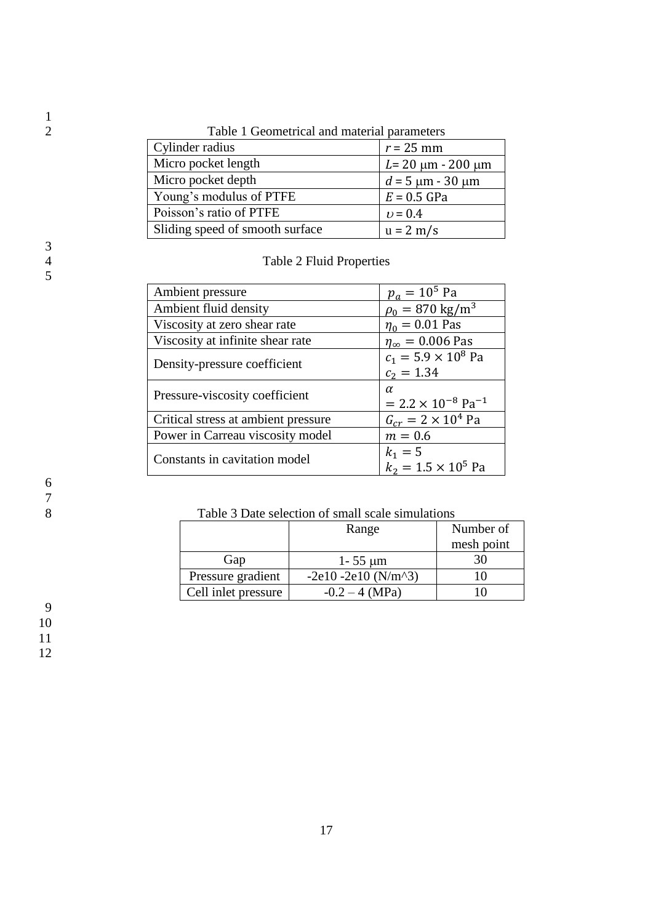| I able T Geometrical and material parameters |                            |  |  |
|----------------------------------------------|----------------------------|--|--|
| Cylinder radius                              | $r = 25$ mm                |  |  |
| Micro pocket length                          | $L = 20 \mu m - 200 \mu m$ |  |  |
| Micro pocket depth                           | $d = 5 \mu m - 30 \mu m$   |  |  |
| Young's modulus of PTFE                      | $E = 0.5$ GPa              |  |  |
| Poisson's ratio of PTFE                      | $v = 0.4$                  |  |  |
| Sliding speed of smooth surface              | $u = 2 m/s$                |  |  |

2 Table 1 Geometrical and material parameters

Table 2 Fluid Properties

| Ambient pressure                    | $p_a = 10^5$ Pa                         |
|-------------------------------------|-----------------------------------------|
| Ambient fluid density               | $\rho_0 = 870 \text{ kg/m}^3$           |
| Viscosity at zero shear rate        | $\eta_0 = 0.01$ Pas                     |
| Viscosity at infinite shear rate    | $\eta_{\infty} = 0.006$ Pas             |
| Density-pressure coefficient        | $c_1 = 5.9 \times 10^8$ Pa              |
|                                     | $c_2 = 1.34$                            |
| Pressure-viscosity coefficient      | $\alpha$                                |
|                                     | $= 2.2 \times 10^{-8}$ Pa <sup>-1</sup> |
| Critical stress at ambient pressure | $G_{cr} = 2 \times 10^4$ Pa             |
| Power in Carreau viscosity model    | $m = 0.6$                               |
| Constants in cavitation model       | $k_1 = 5$                               |
|                                     | $k_2 = 1.5 \times 10^5$ Pa              |
|                                     |                                         |

Table 3 Date selection of small scale simulations

|                     | Range                                                   | Number of  |
|---------------------|---------------------------------------------------------|------------|
|                     |                                                         | mesh point |
| Gap                 | $1 - 55 \mu m$                                          |            |
| Pressure gradient   | $-2e10 - 2e10$ (N/m <sup><math>\triangle</math>3)</sup> |            |
| Cell inlet pressure | $-0.2 - 4$ (MPa)                                        |            |

 $\frac{1}{2}$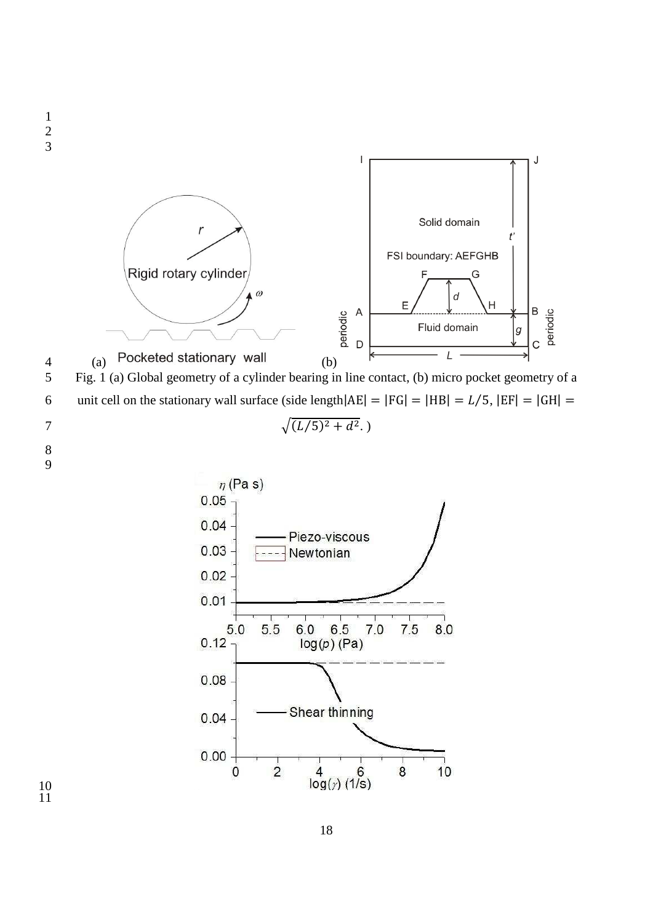

$$
\sqrt{(L/5)^2 + d^2}.)
$$

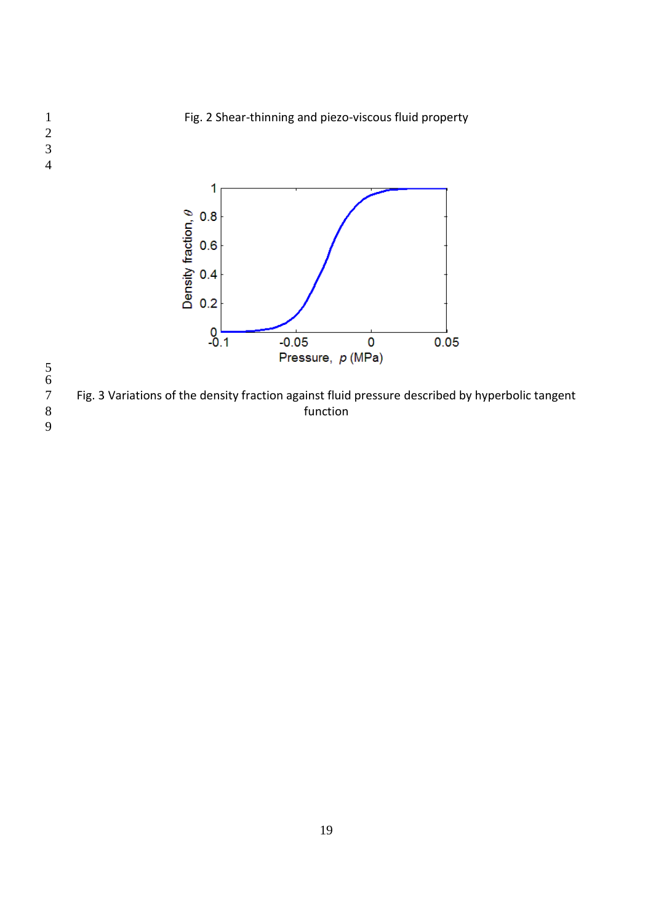Fig. 2 Shear-thinning and piezo-viscous fluid property



 

 

Fig. 3 Variations of the density fraction against fluid pressure described by hyperbolic tangent<br>8 function function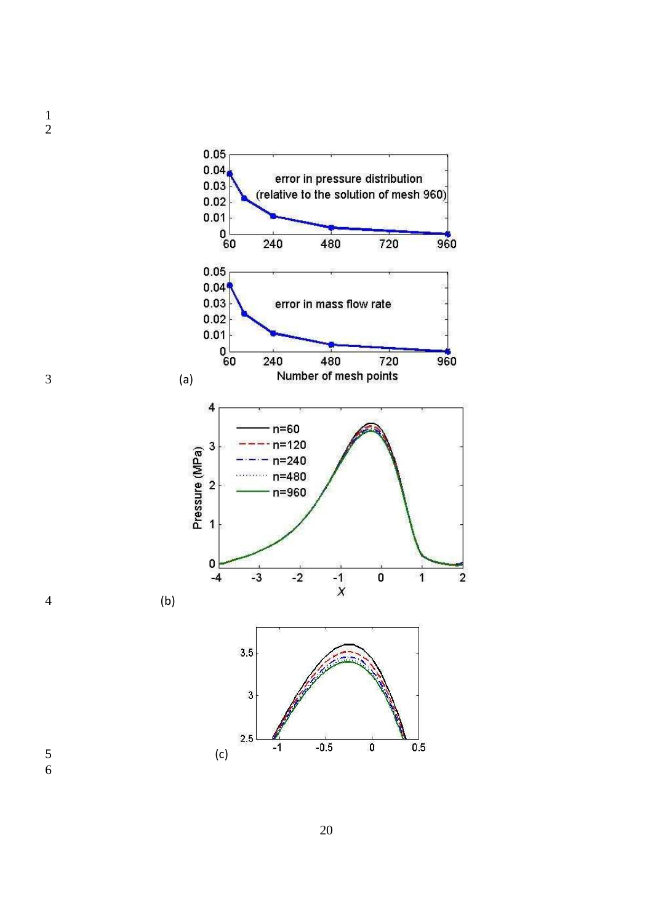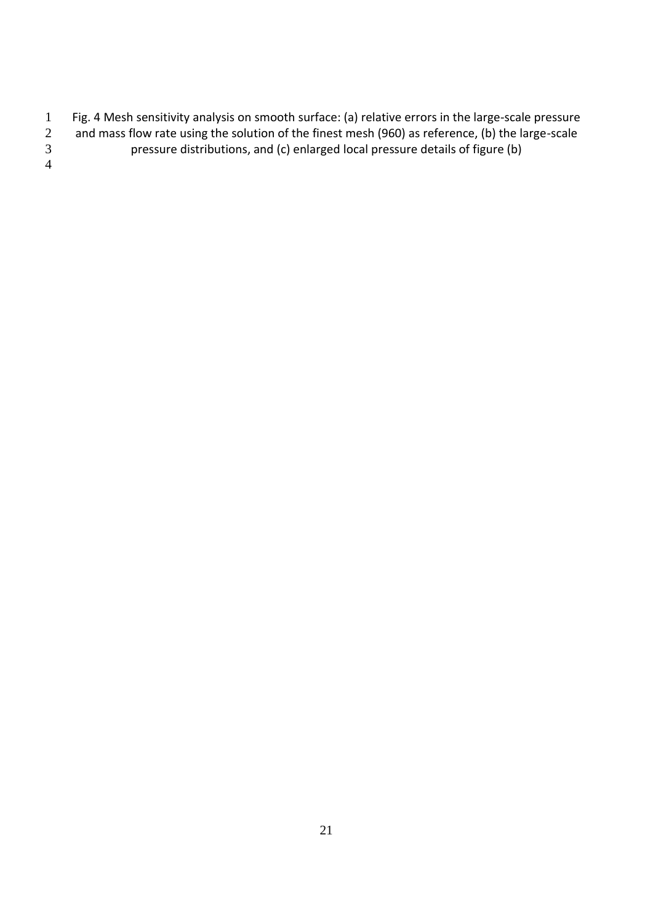- 1 Fig. 4 Mesh sensitivity analysis on smooth surface: (a) relative errors in the large-scale pressure<br>2 and mass flow rate using the solution of the finest mesh (960) as reference, (b) the large-scale
- 2 and mass flow rate using the solution of the finest mesh (960) as reference, (b) the large-scale<br>3 pressure distributions, and (c) enlarged local pressure details of figure (b) pressure distributions, and (c) enlarged local pressure details of figure (b)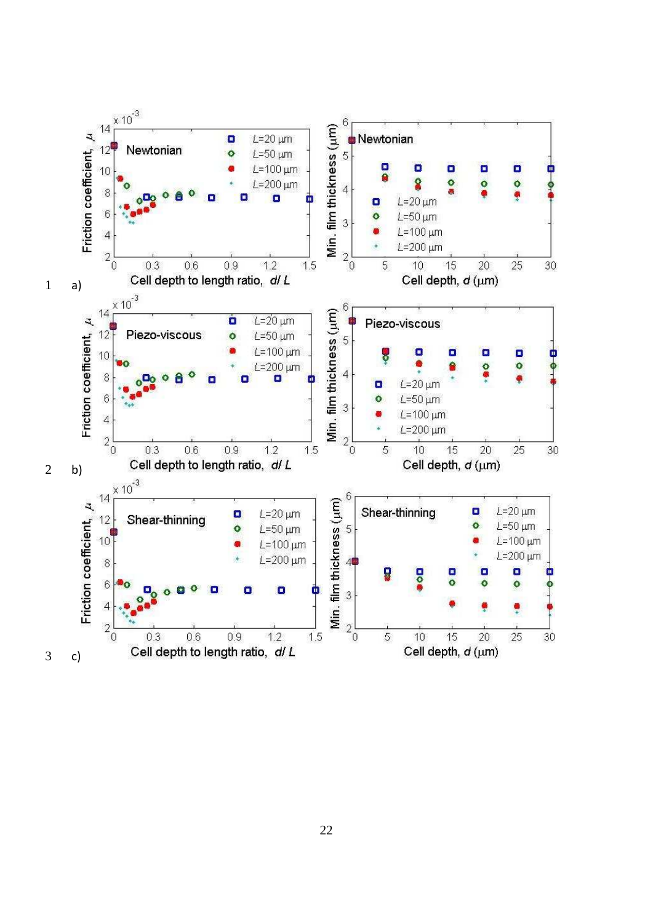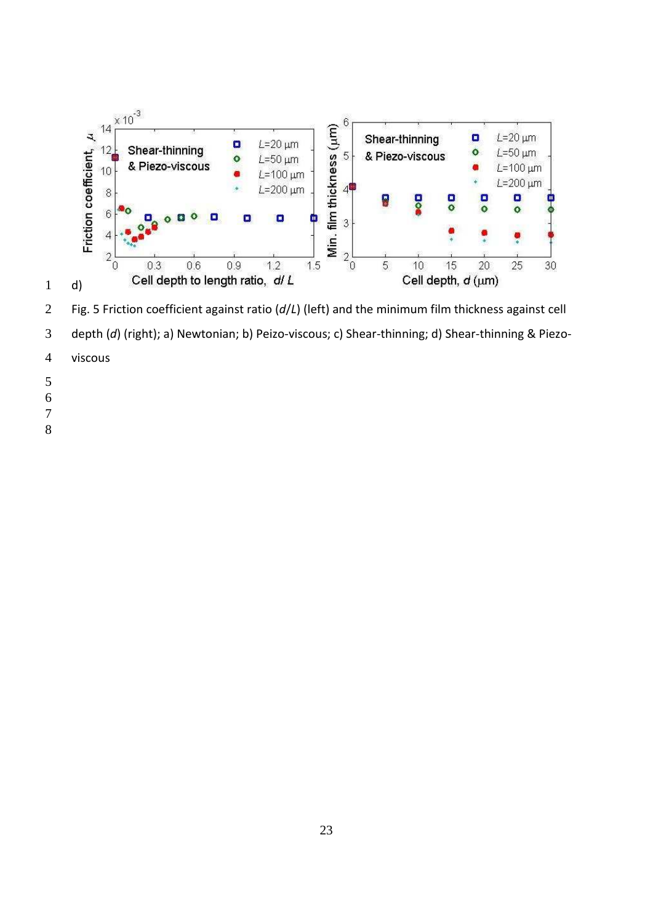

Fig. 5 Friction coefficient against ratio (*d*/*L*) (left) and the minimum film thickness against cell depth (*d*) (right); a) Newtonian; b) Peizo-viscous; c) Shear-thinning; d) Shear-thinning & Piezo-

- viscous
- 
- 
- 
-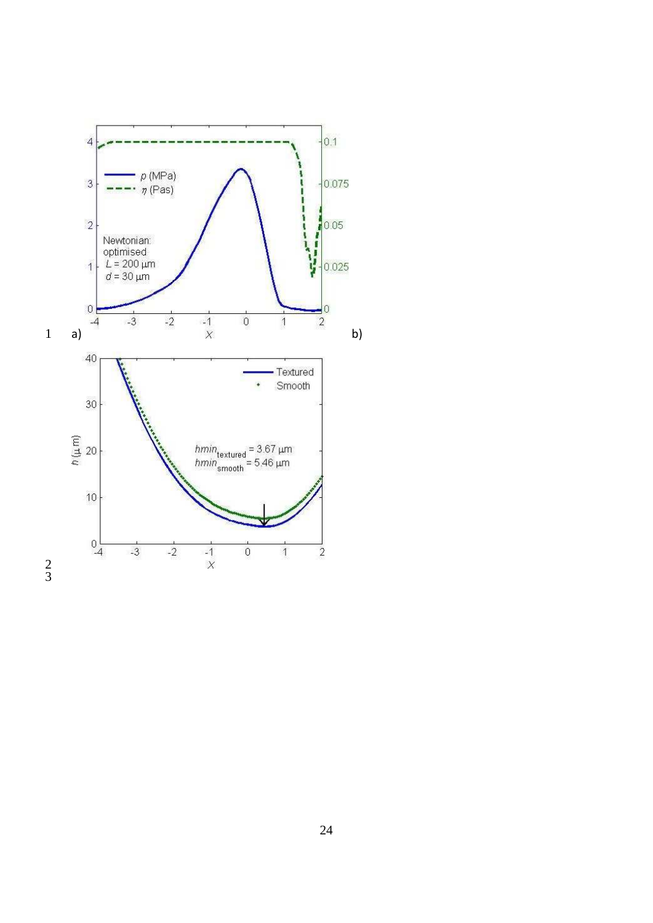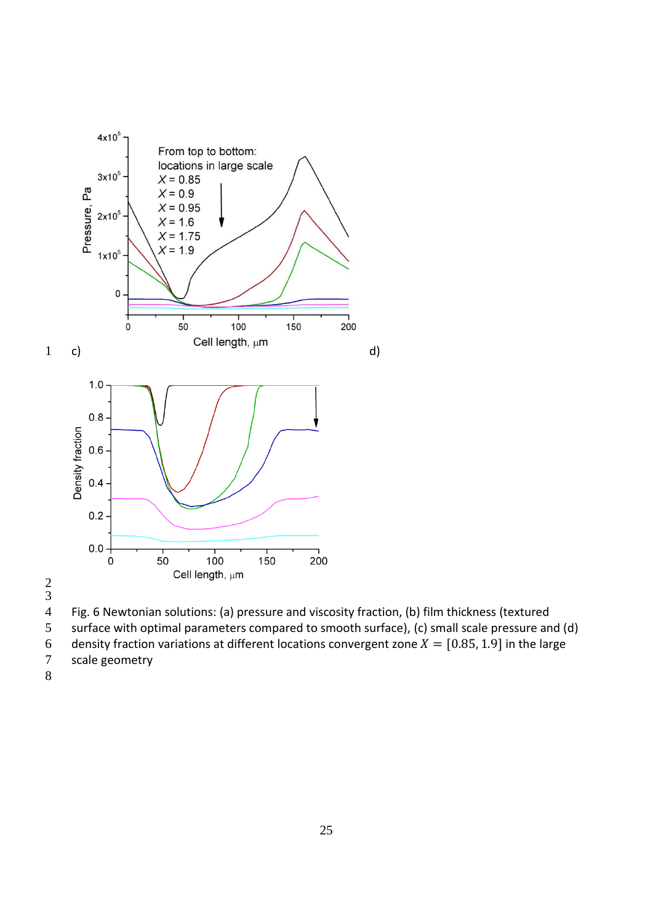

Fig. 6 Newtonian solutions: (a) pressure and viscosity fraction, (b) film thickness (textured

- surface with optimal parameters compared to smooth surface), (c) small scale pressure and (d)
- 6 density fraction variations at different locations convergent zone  $X = [0.85, 1.9]$  in the large<br>7 scale geometry
- scale geometry
-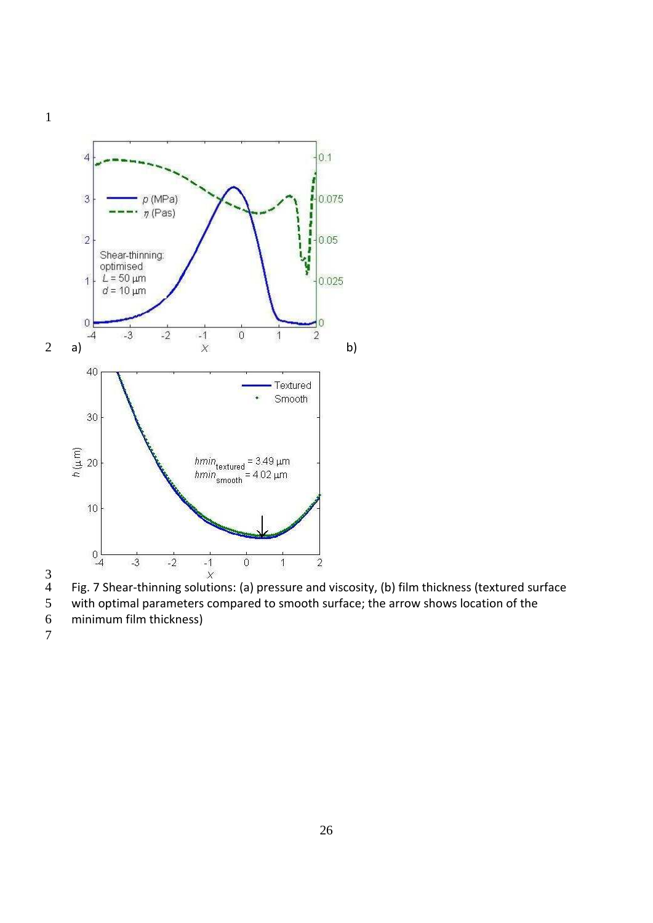





- with optimal parameters compared to smooth surface; the arrow shows location of the
- minimum film thickness)